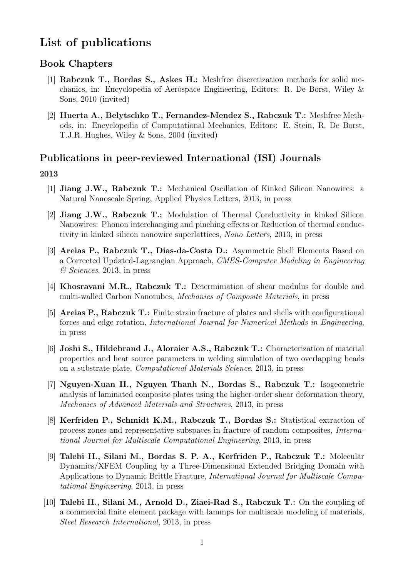# List of publications

# Book Chapters

- [1] Rabczuk T., Bordas S., Askes H.: Meshfree discretization methods for solid mechanics, in: Encyclopedia of Aerospace Engineering, Editors: R. De Borst, Wiley & Sons, 2010 (invited)
- [2] Huerta A., Belytschko T., Fernandez-Mendez S., Rabczuk T.: Meshfree Methods, in: Encyclopedia of Computational Mechanics, Editors: E. Stein, R. De Borst, T.J.R. Hughes, Wiley & Sons, 2004 (invited)

### Publications in peer-reviewed International (ISI) Journals

- [1] Jiang J.W., Rabczuk T.: Mechanical Oscillation of Kinked Silicon Nanowires: a Natural Nanoscale Spring, Applied Physics Letters, 2013, in press
- [2] Jiang J.W., Rabczuk T.: Modulation of Thermal Conductivity in kinked Silicon Nanowires: Phonon interchanging and pinching effects or Reduction of thermal conductivity in kinked silicon nanowire superlattices, Nano Letters, 2013, in press
- [3] Areias P., Rabczuk T., Dias-da-Costa D.: Asymmetric Shell Elements Based on a Corrected Updated-Lagrangian Approach, CMES-Computer Modeling in Engineering & Sciences, 2013, in press
- [4] Khosravani M.R., Rabczuk T.: Determiniation of shear modulus for double and multi-walled Carbon Nanotubes, Mechanics of Composite Materials, in press
- [5] Areias P., Rabczuk T.: Finite strain fracture of plates and shells with configurational forces and edge rotation, International Journal for Numerical Methods in Engineering, in press
- [6] Joshi S., Hildebrand J., Aloraier A.S., Rabczuk T.: Characterization of material properties and heat source parameters in welding simulation of two overlapping beads on a substrate plate, Computational Materials Science, 2013, in press
- [7] Nguyen-Xuan H., Nguyen Thanh N., Bordas S., Rabczuk T.: Isogeometric analysis of laminated composite plates using the higher-order shear deformation theory, Mechanics of Advanced Materials and Structures, 2013, in press
- [8] Kerfriden P., Schmidt K.M., Rabczuk T., Bordas S.: Statistical extraction of process zones and representative subspaces in fracture of random composites, International Journal for Multiscale Computational Engineering, 2013, in press
- [9] Talebi H., Silani M., Bordas S. P. A., Kerfriden P., Rabczuk T.: Molecular Dynamics/XFEM Coupling by a Three-Dimensional Extended Bridging Domain with Applications to Dynamic Brittle Fracture, International Journal for Multiscale Computational Engineering, 2013, in press
- [10] Talebi H., Silani M., Arnold D., Ziaei-Rad S., Rabczuk T.: On the coupling of a commercial finite element package with lammps for multiscale modeling of materials, Steel Research International, 2013, in press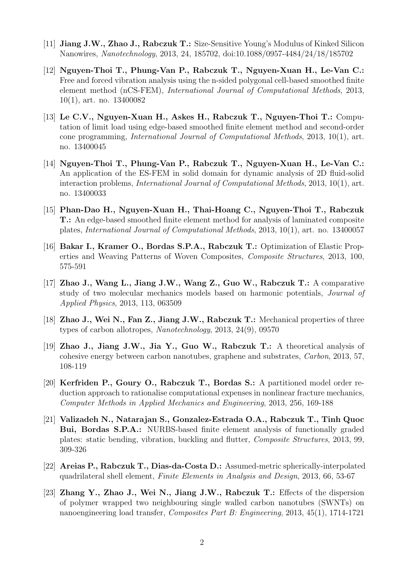- [11] Jiang J.W., Zhao J., Rabczuk T.: Size-Sensitive Young's Modulus of Kinked Silicon Nanowires, Nanotechnology, 2013, 24, 185702, doi:10.1088/0957-4484/24/18/185702
- [12] Nguyen-Thoi T., Phung-Van P., Rabczuk T., Nguyen-Xuan H., Le-Van C.: Free and forced vibration analysis using the n-sided polygonal cell-based smoothed finite element method (nCS-FEM), International Journal of Computational Methods, 2013, 10(1), art. no. 13400082
- [13] Le C.V., Nguyen-Xuan H., Askes H., Rabczuk T., Nguyen-Thoi T.: Computation of limit load using edge-based smoothed finite element method and second-order cone programming, International Journal of Computational Methods, 2013, 10(1), art. no. 13400045
- [14] Nguyen-Thoi T., Phung-Van P., Rabczuk T., Nguyen-Xuan H., Le-Van C.: An application of the ES-FEM in solid domain for dynamic analysis of 2D fluid-solid interaction problems, International Journal of Computational Methods, 2013, 10(1), art. no. 13400033
- [15] Phan-Dao H., Nguyen-Xuan H., Thai-Hoang C., Nguyen-Thoi T., Rabczuk T.: An edge-based smoothed finite element method for analysis of laminated composite plates, International Journal of Computational Methods, 2013, 10(1), art. no. 13400057
- [16] Bakar I., Kramer O., Bordas S.P.A., Rabczuk T.: Optimization of Elastic Properties and Weaving Patterns of Woven Composites, Composite Structures, 2013, 100, 575-591
- [17] Zhao J., Wang L., Jiang J.W., Wang Z., Guo W., Rabczuk T.: A comparative study of two molecular mechanics models based on harmonic potentials, Journal of Applied Physics, 2013, 113, 063509
- [18] Zhao J., Wei N., Fan Z., Jiang J.W., Rabczuk T.: Mechanical properties of three types of carbon allotropes, Nanotechnology, 2013, 24(9), 09570
- [19] Zhao J., Jiang J.W., Jia Y., Guo W., Rabczuk T.: A theoretical analysis of cohesive energy between carbon nanotubes, graphene and substrates, Carbon, 2013, 57, 108-119
- [20] Kerfriden P., Goury O., Rabczuk T., Bordas S.: A partitioned model order reduction approach to rationalise computational expenses in nonlinear fracture mechanics, Computer Methods in Applied Mechanics and Engineering, 2013, 256, 169-188
- [21] Valizadeh N., Natarajan S., Gonzalez-Estrada O.A., Rabczuk T., Tinh Quoc Bui, Bordas S.P.A.: NURBS-based finite element analysis of functionally graded plates: static bending, vibration, buckling and flutter, Composite Structures, 2013, 99, 309-326
- [22] Areias P., Rabczuk T., Dias-da-Costa D.: Assumed-metric spherically-interpolated quadrilateral shell element, Finite Elements in Analysis and Design, 2013, 66, 53-67
- [23] Zhang Y., Zhao J., Wei N., Jiang J.W., Rabczuk T.: Effects of the dispersion of polymer wrapped two neighbouring single walled carbon nanotubes (SWNTs) on nanoengineering load transfer, Composites Part B: Engineering, 2013, 45(1), 1714-1721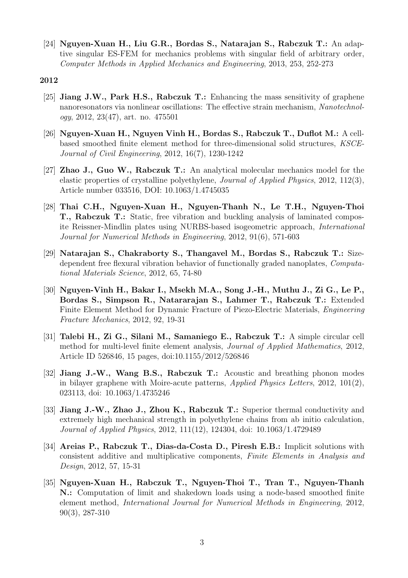[24] Nguyen-Xuan H., Liu G.R., Bordas S., Natarajan S., Rabczuk T.: An adaptive singular ES-FEM for mechanics problems with singular field of arbitrary order, Computer Methods in Applied Mechanics and Engineering, 2013, 253, 252-273

- [25] Jiang J.W., Park H.S., Rabczuk T.: Enhancing the mass sensitivity of graphene nanoresonators via nonlinear oscillations: The effective strain mechanism, Nanotechnology, 2012, 23(47), art. no. 475501
- [26] Nguyen-Xuan H., Nguyen Vinh H., Bordas S., Rabczuk T., Duflot M.: A cellbased smoothed finite element method for three-dimensional solid structures, KSCE-Journal of Civil Engineering, 2012, 16(7), 1230-1242
- [27] Zhao J., Guo W., Rabczuk T.: An analytical molecular mechanics model for the elastic properties of crystalline polyethylene, Journal of Applied Physics, 2012, 112(3), Article number 033516, DOI: 10.1063/1.4745035
- [28] Thai C.H., Nguyen-Xuan H., Nguyen-Thanh N., Le T.H., Nguyen-Thoi T., Rabczuk T.: Static, free vibration and buckling analysis of laminated composite Reissner-Mindlin plates using NURBS-based isogeometric approach, International Journal for Numerical Methods in Engineering, 2012, 91(6), 571-603
- [29] Natarajan S., Chakraborty S., Thangavel M., Bordas S., Rabczuk T.: Sizedependent free flexural vibration behavior of functionally graded nanoplates, Computational Materials Science, 2012, 65, 74-80
- [30] Nguyen-Vinh H., Bakar I., Msekh M.A., Song J.-H., Muthu J., Zi G., Le P., Bordas S., Simpson R., Natararajan S., Lahmer T., Rabczuk T.: Extended Finite Element Method for Dynamic Fracture of Piezo-Electric Materials, Engineering Fracture Mechanics, 2012, 92, 19-31
- [31] Talebi H., Zi G., Silani M., Samaniego E., Rabczuk T.: A simple circular cell method for multi-level finite element analysis, Journal of Applied Mathematics, 2012, Article ID 526846, 15 pages, doi:10.1155/2012/526846
- [32] Jiang J.-W., Wang B.S., Rabczuk T.: Acoustic and breathing phonon modes in bilayer graphene with Moire-acute patterns, Applied Physics Letters, 2012, 101(2), 023113, doi: 10.1063/1.4735246
- [33] Jiang J.-W., Zhao J., Zhou K., Rabczuk T.: Superior thermal conductivity and extremely high mechanical strength in polyethylene chains from ab initio calculation, Journal of Applied Physics, 2012, 111(12), 124304, doi: 10.1063/1.4729489
- [34] Areias P., Rabczuk T., Dias-da-Costa D., Piresh E.B.: Implicit solutions with consistent additive and multiplicative components, Finite Elements in Analysis and Design, 2012, 57, 15-31
- [35] Nguyen-Xuan H., Rabczuk T., Nguyen-Thoi T., Tran T., Nguyen-Thanh N.: Computation of limit and shakedown loads using a node-based smoothed finite element method, International Journal for Numerical Methods in Engineering, 2012, 90(3), 287-310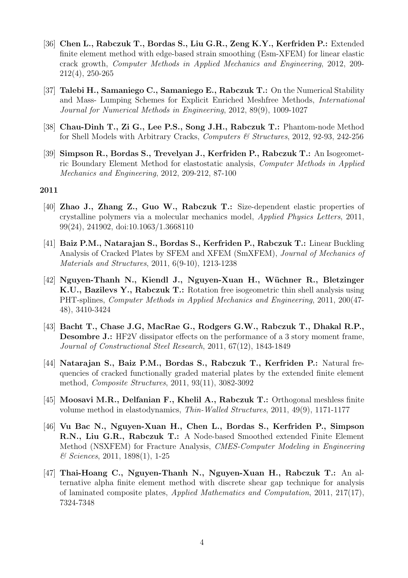- [36] Chen L., Rabczuk T., Bordas S., Liu G.R., Zeng K.Y., Kerfriden P.: Extended finite element method with edge-based strain smoothing (Esm-XFEM) for linear elastic crack growth, Computer Methods in Applied Mechanics and Engineering, 2012, 209- 212(4), 250-265
- [37] Talebi H., Samaniego C., Samaniego E., Rabczuk T.: On the Numerical Stability and Mass- Lumping Schemes for Explicit Enriched Meshfree Methods, International Journal for Numerical Methods in Engineering, 2012, 89(9), 1009-1027
- [38] Chau-Dinh T., Zi G., Lee P.S., Song J.H., Rabczuk T.: Phantom-node Method for Shell Models with Arbitrary Cracks, Computers & Structures, 2012, 92-93, 242-256
- [39] Simpson R., Bordas S., Trevelyan J., Kerfriden P., Rabczuk T.: An Isogeometric Boundary Element Method for elastostatic analysis, Computer Methods in Applied Mechanics and Engineering, 2012, 209-212, 87-100

- [40] Zhao J., Zhang Z., Guo W., Rabczuk T.: Size-dependent elastic properties of crystalline polymers via a molecular mechanics model, Applied Physics Letters, 2011, 99(24), 241902, doi:10.1063/1.3668110
- [41] Baiz P.M., Natarajan S., Bordas S., Kerfriden P., Rabczuk T.: Linear Buckling Analysis of Cracked Plates by SFEM and XFEM (SmXFEM), Journal of Mechanics of Materials and Structures, 2011, 6(9-10), 1213-1238
- [42] Nguyen-Thanh N., Kiendl J., Nguyen-Xuan H., Wüchner R., Bletzinger K.U., Bazilevs Y., Rabczuk T.: Rotation free isogeometric thin shell analysis using PHT-splines, Computer Methods in Applied Mechanics and Engineering, 2011, 200(47- 48), 3410-3424
- [43] Bacht T., Chase J.G, MacRae G., Rodgers G.W., Rabczuk T., Dhakal R.P., Desombre J.: HF2V dissipator effects on the performance of a 3 story moment frame, Journal of Constructional Steel Research, 2011, 67(12), 1843-1849
- [44] Natarajan S., Baiz P.M., Bordas S., Rabczuk T., Kerfriden P.: Natural frequencies of cracked functionally graded material plates by the extended finite element method, Composite Structures, 2011, 93(11), 3082-3092
- [45] Moosavi M.R., Delfanian F., Khelil A., Rabczuk T.: Orthogonal meshless finite volume method in elastodynamics, Thin-Walled Structures, 2011, 49(9), 1171-1177
- [46] Vu Bac N., Nguyen-Xuan H., Chen L., Bordas S., Kerfriden P., Simpson R.N., Liu G.R., Rabczuk T.: A Node-based Smoothed extended Finite Element Method (NSXFEM) for Fracture Analysis, CMES-Computer Modeling in Engineering & Sciences, 2011, 1898(1), 1-25
- [47] Thai-Hoang C., Nguyen-Thanh N., Nguyen-Xuan H., Rabczuk T.: An alternative alpha finite element method with discrete shear gap technique for analysis of laminated composite plates, Applied Mathematics and Computation, 2011, 217(17), 7324-7348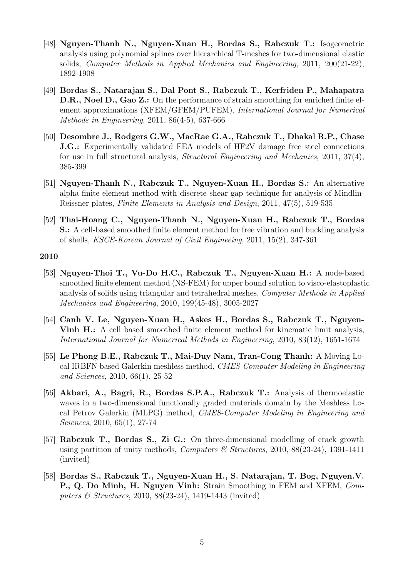- [48] Nguyen-Thanh N., Nguyen-Xuan H., Bordas S., Rabczuk T.: Isogeometric analysis using polynomial splines over hierarchical T-meshes for two-dimensional elastic solids, Computer Methods in Applied Mechanics and Engineering, 2011, 200(21-22), 1892-1908
- [49] Bordas S., Natarajan S., Dal Pont S., Rabczuk T., Kerfriden P., Mahapatra D.R., Noel D., Gao Z.: On the performance of strain smoothing for enriched finite element approximations (XFEM/GFEM/PUFEM), International Journal for Numerical Methods in Engineering, 2011, 86(4-5), 637-666
- [50] Desombre J., Rodgers G.W., MacRae G.A., Rabczuk T., Dhakal R.P., Chase **J.G.:** Experimentally validated FEA models of HF2V damage free steel connections for use in full structural analysis, Structural Engineering and Mechanics, 2011, 37(4), 385-399
- [51] Nguyen-Thanh N., Rabczuk T., Nguyen-Xuan H., Bordas S.: An alternative alpha finite element method with discrete shear gap technique for analysis of Mindlin-Reissner plates, Finite Elements in Analysis and Design, 2011, 47(5), 519-535
- [52] Thai-Hoang C., Nguyen-Thanh N., Nguyen-Xuan H., Rabczuk T., Bordas S.: A cell-based smoothed finite element method for free vibration and buckling analysis of shells, KSCE-Korean Journal of Civil Engineeing, 2011, 15(2), 347-361

- [53] Nguyen-Thoi T., Vu-Do H.C., Rabczuk T., Nguyen-Xuan H.: A node-based smoothed finite element method (NS-FEM) for upper bound solution to visco-elastoplastic analysis of solids using triangular and tetrahedral meshes, Computer Methods in Applied Mechanics and Engineering, 2010, 199(45-48), 3005-2027
- [54] Canh V. Le, Nguyen-Xuan H., Askes H., Bordas S., Rabczuk T., Nguyen-Vinh H.: A cell based smoothed finite element method for kinematic limit analysis, International Journal for Numerical Methods in Engineering, 2010, 83(12), 1651-1674
- [55] Le Phong B.E., Rabczuk T., Mai-Duy Nam, Tran-Cong Thanh: A Moving Local IRBFN based Galerkin meshless method, CMES-Computer Modeling in Engineering and Sciences, 2010, 66(1), 25-52
- [56] Akbari, A., Bagri, R., Bordas S.P.A., Rabczuk T.: Analysis of thermoelastic waves in a two-dimensional functionally graded materials domain by the Meshless Local Petrov Galerkin (MLPG) method, CMES-Computer Modeling in Engineering and Sciences, 2010, 65(1), 27-74
- [57] Rabczuk T., Bordas S., Zi G.: On three-dimensional modelling of crack growth using partition of unity methods, *Computers & Structures*, 2010, 88(23-24), 1391-1411 (invited)
- [58] Bordas S., Rabczuk T., Nguyen-Xuan H., S. Natarajan, T. Bog, Nguyen.V. P., Q. Do Minh, H. Nguyen Vinh: Strain Smoothing in FEM and XFEM, Computers & Structures, 2010, 88(23-24), 1419-1443 (invited)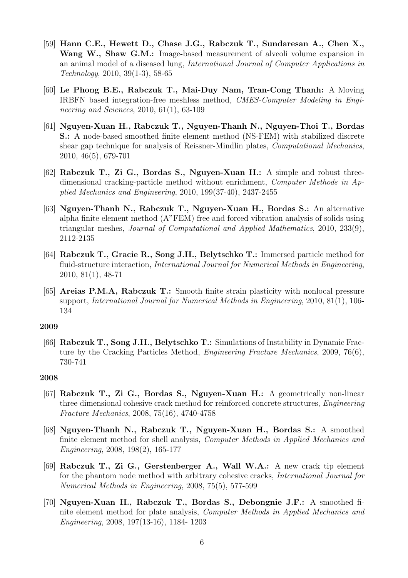- [59] Hann C.E., Hewett D., Chase J.G., Rabczuk T., Sundaresan A., Chen X., Wang W., Shaw G.M.: Image-based measurement of alveoli volume expansion in an animal model of a diseased lung, International Journal of Computer Applications in Technology, 2010, 39(1-3), 58-65
- [60] Le Phong B.E., Rabczuk T., Mai-Duy Nam, Tran-Cong Thanh: A Moving IRBFN based integration-free meshless method, CMES-Computer Modeling in Engineering and Sciences, 2010, 61(1), 63-109
- [61] Nguyen-Xuan H., Rabczuk T., Nguyen-Thanh N., Nguyen-Thoi T., Bordas S.: A node-based smoothed finite element method (NS-FEM) with stabilized discrete shear gap technique for analysis of Reissner-Mindlin plates, Computational Mechanics, 2010, 46(5), 679-701
- [62] Rabczuk T., Zi G., Bordas S., Nguyen-Xuan H.: A simple and robust threedimensional cracking-particle method without enrichment, Computer Methods in Applied Mechanics and Engineering, 2010, 199(37-40), 2437-2455
- [63] Nguyen-Thanh N., Rabczuk T., Nguyen-Xuan H., Bordas S.: An alternative alpha finite element method (A"FEM) free and forced vibration analysis of solids using triangular meshes, Journal of Computational and Applied Mathematics, 2010, 233(9), 2112-2135
- [64] Rabczuk T., Gracie R., Song J.H., Belytschko T.: Immersed particle method for fluid-structure interaction, International Journal for Numerical Methods in Engineering, 2010, 81(1), 48-71
- [65] Areias P.M.A, Rabczuk T.: Smooth finite strain plasticity with nonlocal pressure support, International Journal for Numerical Methods in Engineering, 2010, 81(1), 106- 134

[66] Rabczuk T., Song J.H., Belytschko T.: Simulations of Instability in Dynamic Fracture by the Cracking Particles Method, Engineering Fracture Mechanics, 2009, 76(6), 730-741

- [67] Rabczuk T., Zi G., Bordas S., Nguyen-Xuan H.: A geometrically non-linear three dimensional cohesive crack method for reinforced concrete structures, Engineering Fracture Mechanics, 2008, 75(16), 4740-4758
- [68] Nguyen-Thanh N., Rabczuk T., Nguyen-Xuan H., Bordas S.: A smoothed finite element method for shell analysis, Computer Methods in Applied Mechanics and Engineering, 2008, 198(2), 165-177
- [69] Rabczuk T., Zi G., Gerstenberger A., Wall W.A.: A new crack tip element for the phantom node method with arbitrary cohesive cracks, International Journal for Numerical Methods in Engineering, 2008, 75(5), 577-599
- [70] Nguyen-Xuan H., Rabczuk T., Bordas S., Debongnie J.F.: A smoothed finite element method for plate analysis, Computer Methods in Applied Mechanics and Engineering, 2008, 197(13-16), 1184- 1203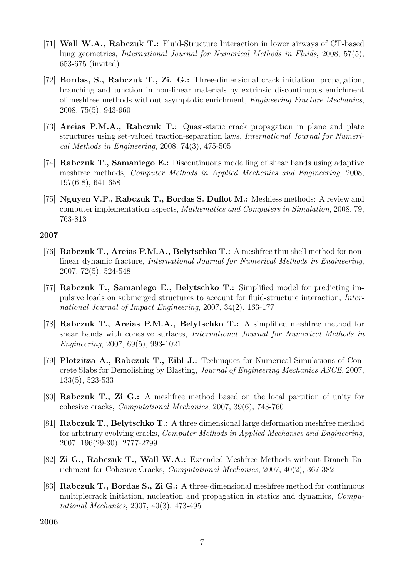- [71] Wall W.A., Rabczuk T.: Fluid-Structure Interaction in lower airways of CT-based lung geometries, International Journal for Numerical Methods in Fluids, 2008, 57(5), 653-675 (invited)
- [72] Bordas, S., Rabczuk T., Zi. G.: Three-dimensional crack initiation, propagation, branching and junction in non-linear materials by extrinsic discontinuous enrichment of meshfree methods without asymptotic enrichment, Engineering Fracture Mechanics, 2008, 75(5), 943-960
- [73] Areias P.M.A., Rabczuk T.: Quasi-static crack propagation in plane and plate structures using set-valued traction-separation laws, International Journal for Numerical Methods in Engineering, 2008, 74(3), 475-505
- [74] Rabczuk T., Samaniego E.: Discontinuous modelling of shear bands using adaptive meshfree methods, Computer Methods in Applied Mechanics and Engineering, 2008, 197(6-8), 641-658
- [75] Nguyen V.P., Rabczuk T., Bordas S. Duflot M.: Meshless methods: A review and computer implementation aspects, Mathematics and Computers in Simulation, 2008, 79, 763-813

- [76] Rabczuk T., Areias P.M.A., Belytschko T.: A meshfree thin shell method for nonlinear dynamic fracture, International Journal for Numerical Methods in Engineering, 2007, 72(5), 524-548
- [77] Rabczuk T., Samaniego E., Belytschko T.: Simplified model for predicting impulsive loads on submerged structures to account for fluid-structure interaction, International Journal of Impact Engineering, 2007, 34(2), 163-177
- [78] Rabczuk T., Areias P.M.A., Belytschko T.: A simplified meshfree method for shear bands with cohesive surfaces, International Journal for Numerical Methods in Engineering, 2007, 69(5), 993-1021
- [79] Plotzitza A., Rabczuk T., Eibl J.: Techniques for Numerical Simulations of Concrete Slabs for Demolishing by Blasting, Journal of Engineering Mechanics ASCE, 2007, 133(5), 523-533
- [80] Rabczuk T., Zi G.: A meshfree method based on the local partition of unity for cohesive cracks, Computational Mechanics, 2007, 39(6), 743-760
- [81] Rabczuk T., Belytschko T.: A three dimensional large deformation meshfree method for arbitrary evolving cracks, Computer Methods in Applied Mechanics and Engineering, 2007, 196(29-30), 2777-2799
- [82] Zi G., Rabczuk T., Wall W.A.: Extended Meshfree Methods without Branch Enrichment for Cohesive Cracks, Computational Mechanics, 2007, 40(2), 367-382
- [83] Rabczuk T., Bordas S., Zi G.: A three-dimensional meshfree method for continuous multiplecrack initiation, nucleation and propagation in statics and dynamics, Computational Mechanics, 2007, 40(3), 473-495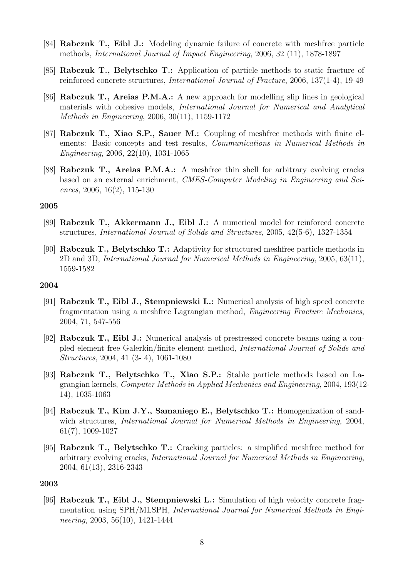- [84] Rabczuk T., Eibl J.: Modeling dynamic failure of concrete with meshfree particle methods, International Journal of Impact Engineering, 2006, 32 (11), 1878-1897
- [85] Rabczuk T., Belytschko T.: Application of particle methods to static fracture of reinforced concrete structures, International Journal of Fracture, 2006, 137(1-4), 19-49
- [86] Rabczuk T., Areias P.M.A.: A new approach for modelling slip lines in geological materials with cohesive models, International Journal for Numerical and Analytical Methods in Engineering, 2006, 30(11), 1159-1172
- [87] Rabczuk T., Xiao S.P., Sauer M.: Coupling of meshfree methods with finite elements: Basic concepts and test results, Communications in Numerical Methods in Engineering, 2006, 22(10), 1031-1065
- [88] Rabczuk T., Areias P.M.A.: A meshfree thin shell for arbitrary evolving cracks based on an external enrichment, CMES-Computer Modeling in Engineering and Sciences, 2006, 16(2), 115-130

- [89] Rabczuk T., Akkermann J., Eibl J.: A numerical model for reinforced concrete structures, International Journal of Solids and Structures, 2005, 42(5-6), 1327-1354
- [90] Rabczuk T., Belytschko T.: Adaptivity for structured meshfree particle methods in 2D and 3D, International Journal for Numerical Methods in Engineering, 2005, 63(11), 1559-1582

#### 2004

- [91] Rabczuk T., Eibl J., Stempniewski L.: Numerical analysis of high speed concrete fragmentation using a meshfree Lagrangian method, Engineering Fracture Mechanics, 2004, 71, 547-556
- [92] Rabczuk T., Eibl J.: Numerical analysis of prestressed concrete beams using a coupled element free Galerkin/finite element method, International Journal of Solids and Structures, 2004, 41 (3- 4), 1061-1080
- [93] Rabczuk T., Belytschko T., Xiao S.P.: Stable particle methods based on Lagrangian kernels, Computer Methods in Applied Mechanics and Engineering, 2004, 193(12- 14), 1035-1063
- [94] Rabczuk T., Kim J.Y., Samaniego E., Belytschko T.: Homogenization of sandwich structures, *International Journal for Numerical Methods in Engineering*, 2004, 61(7), 1009-1027
- [95] Rabczuk T., Belytschko T.: Cracking particles: a simplified meshfree method for arbitrary evolving cracks, International Journal for Numerical Methods in Engineering, 2004, 61(13), 2316-2343

#### 2003

[96] Rabczuk T., Eibl J., Stempniewski L.: Simulation of high velocity concrete fragmentation using SPH/MLSPH, International Journal for Numerical Methods in Engineering, 2003, 56(10), 1421-1444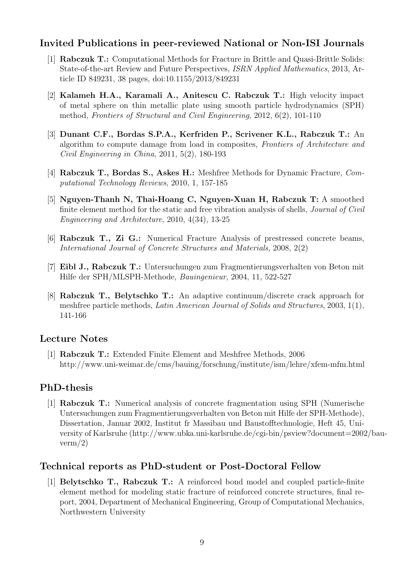# Invited Publications in peer-reviewed National or Non-ISI Journals

- [1] Rabczuk T.: Computational Methods for Fracture in Brittle and Quasi-Brittle Solids: State-of-the-art Review and Future Perspectives, ISRN Applied Mathematics, 2013, Article ID 849231, 38 pages, doi:10.1155/2013/849231
- [2] Kalameh H.A., Karamali A., Anitescu C. Rabczuk T.: High velocity impact of metal sphere on thin metallic plate using smooth particle hydrodynamics (SPH) method, Frontiers of Structural and Civil Engineering, 2012, 6(2), 101-110
- [3] Dunant C.F., Bordas S.P.A., Kerfriden P., Scrivener K.L., Rabczuk T.: An algorithm to compute damage from load in composites, Frontiers of Architecture and Civil Engineering in China, 2011, 5(2), 180-193
- [4] Rabczuk T., Bordas S., Askes H.: Meshfree Methods for Dynamic Fracture, Computational Technology Reviews, 2010, 1, 157-185
- [5] Nguyen-Thanh N, Thai-Hoang C, Nguyen-Xuan H, Rabczuk T: A smoothed finite element method for the static and free vibration analysis of shells, Journal of Civil Engineering and Architecture, 2010, 4(34), 13-25
- [6] Rabczuk T., Zi G.: Numerical Fracture Analysis of prestressed concrete beams, International Journal of Concrete Structures and Materials, 2008, 2(2)
- [7] Eibl J., Rabczuk T.: Untersuchungen zum Fragmentierungsverhalten von Beton mit Hilfe der SPH/MLSPH-Methode, Bauingenieur, 2004, 11, 522-527
- [8] Rabczuk T., Belytschko T.: An adaptive continuum/discrete crack approach for meshfree particle methods, Latin American Journal of Solids and Structures, 2003, 1(1), 141-166

# Lecture Notes

[1] Rabczuk T.: Extended Finite Element and Meshfree Methods, 2006 http://www.uni-weimar.de/cms/bauing/forschung/institute/ism/lehre/xfem-mfm.html

# PhD-thesis

[1] Rabczuk T.: Numerical analysis of concrete fragmentation using SPH (Numerische Untersuchungen zum Fragmentierungsverhalten von Beton mit Hilfe der SPH-Methode), Dissertation, Januar 2002, Institut fr Massibau und Baustofftechnologie, Heft 45, University of Karlsruhe (http://www.ubka.uni-karlsruhe.de/cgi-bin/psview?document=2002/bau $verm/2)$ 

# Technical reports as PhD-student or Post-Doctoral Fellow

[1] Belytschko T., Rabczuk T.: A reinforced bond model and coupled particle-finite element method for modeling static fracture of reinforced concrete structures, final report, 2004, Department of Mechanical Engineering, Group of Computational Mechanics, Northwestern University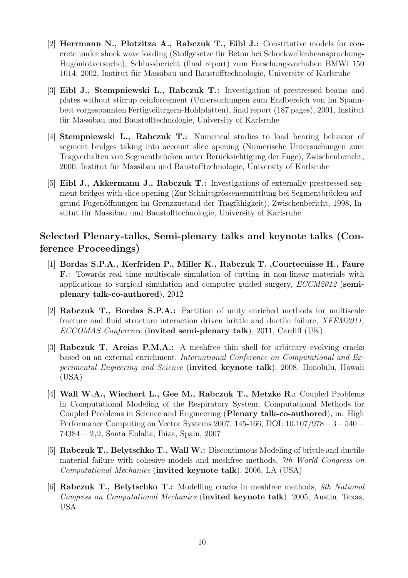- [2] Herrmann N., Plotzitza A., Rabczuk T., Eibl J.: Constitutive models for concrete under shock wave loading (Stoffgesetze für Beton bei Schockwellenbeanspruchung-Hugoniotversuche), Schlussbericht (final report) zum Forschungsvorhaben BMWi 150 1014, 2002, Institut für Massibau und Baustofftechnologie, University of Karlsruhe
- [3] Eibl J., Stempniewski L., Rabczuk T.: Investigation of prestressed beams and plates without stirrup reinforcement (Untersuchungen zum Endbereich von im Spannbett vorgespannten Fertigteiltrgern-Hohlplatten), final report (187 pages), 2001, Institut für Massibau und Baustofftechnologie, University of Karlsruhe
- [4] Stempniewski L., Rabczuk T.: Numerical studies to load bearing behavior of segment bridges taking into account slice opening (Numerische Untersuchungen zum Tragverhalten von Segmentbrücken unter Berücksichtigung der Fuge), Zwischenbericht, 2000, Institut für Massibau und Baustofftechnologie, University of Karlsruhe
- [5] Eibl J., Akkermann J., Rabczuk T.: Investigations of externally prestressed segment bridges with slice opening (Zur Schnittgrössenermittlung bei Segmentbrücken aufgrund Fugenöffnungen im Grenzzustand der Tragfähigkeit), Zwischenbericht, 1998, Institut für Massibau und Baustofftechnologie, University of Karlsruhe

# Selected Plenary-talks, Semi-plenary talks and keynote talks (Conference Proceedings)

- [1] Bordas S.P.A., Kerfriden P., Miller K., Rabczuk T. ,Courtecuisse H., Faure F.: Towards real time multiscale simulation of cutting in non-linear materials with applications to surgical simulation and computer guided surgery,  $ECCM2012$  (semiplenary talk-co-authored), 2012
- [2] Rabczuk T., Bordas S.P.A.: Partition of unity enriched methods for multiscale fracture and fluid structure interaction driven brittle and ductile failure, XFEM2011, ECCOMAS Conference (invited semi-plenary talk), 2011, Cardiff (UK)
- [3] Rabczuk T. Areias P.M.A.: A meshfree thin shell for arbitrary evolving cracks based on an external enrichment, International Conference on Computational and Experimental Engieering and Science (invited keynote talk), 2008, Honolulu, Hawaii (USA)
- [4] Wall W.A., Wiechert L., Gee M., Rabczuk T., Metzke R.: Coupled Problems in Computational Modeling of the Respiratory System, Computational Methods for Coupled Problems in Science and Engineering (Plenary talk-co-authored), in: High Performance Computing on Vector Systems 2007, 145-166, DOI: 10.107/978−3−540− 74384 − 212, Santa Eulalia, Ibiza, Spain, 2007
- [5] Rabczuk T., Belytschko T., Wall W.: Discontinuous Modeling of brittle and ductile material failure with cohesive models and meshfree methods, 7th World Congress on Computational Mechanics (invited keynote talk), 2006, LA (USA)
- [6] Rabczuk T., Belytschko T.: Modelling cracks in meshfree methods, 8th National Congress on Computational Mechanics (invited keynote talk), 2005, Austin, Texas, USA